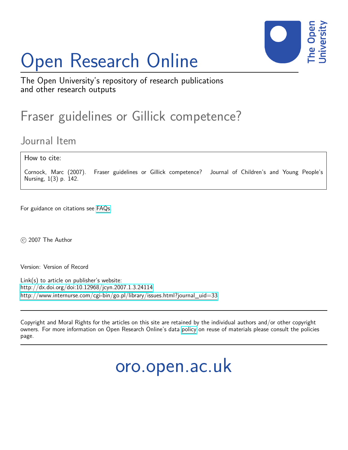## Open Research Online



The Open University's repository of research publications and other research outputs

## Fraser guidelines or Gillick competence?

Journal Item

How to cite:

Cornock, Marc (2007). Fraser guidelines or Gillick competence? Journal of Children's and Young People's Nursing, 1(3) p. 142.

For guidance on citations see [FAQs.](http://oro.open.ac.uk/help/helpfaq.html)

© 2007 The Author

Version: Version of Record

Link(s) to article on publisher's website: <http://dx.doi.org/doi:10.12968/jcyn.2007.1.3.24114> [http://www.internurse.com/cgi-bin/go.pl/library/issues.html?journal\\_uid=33](http://www.internurse.com/cgi-bin/go.pl/library/issues.html?journal_uid=33)

Copyright and Moral Rights for the articles on this site are retained by the individual authors and/or other copyright owners. For more information on Open Research Online's data [policy](http://oro.open.ac.uk/policies.html) on reuse of materials please consult the policies page.

oro.open.ac.uk